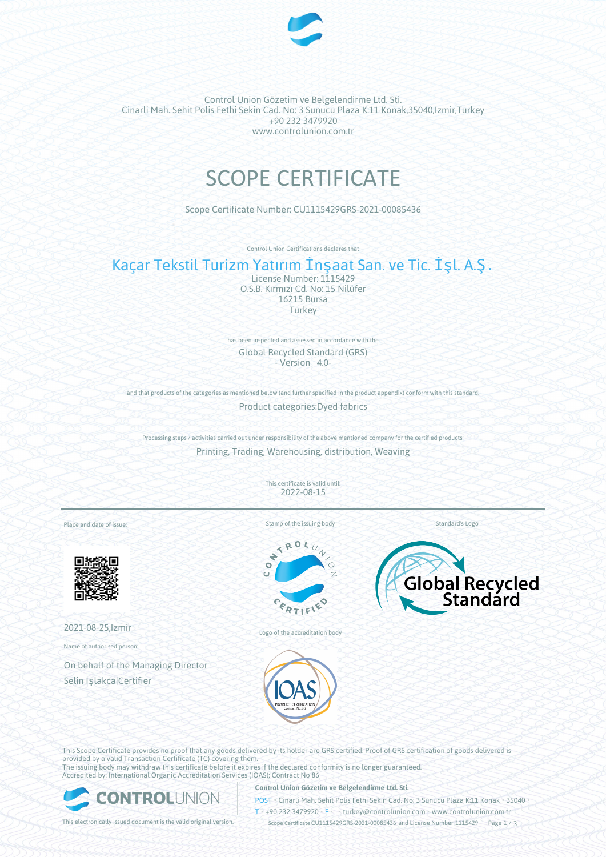

Control Union Gözetim ve Belgelendirme Ltd. Sti. Cinarli Mah. Sehit Polis Fethi Sekin Cad. No: 3 Sunucu Plaza K:11 Konak,35040,Izmir,Turkey +90 232 3479920 www.controlunion.com.tr

# SCOPE CERTIFICATE

Scope Certificate Number: CU1115429GRS-2021-00085436

Control Union Certifications declares that

# Kaçar Tekstil Turizm Yatırım İnşaat San. ve Tic. İşl. A.Ş.

License Number: 1115429 O.S.B. Kırmızı Cd. No: 15 Nilüfer 16215 Bursa Turkey

has been inspected and assessed in accordance with the Global Recycled Standard (GRS) - Version 4.0-

and that products of the categories as mentioned below (and further specified in the product appendix) conform with this standard. Product categories:Dyed fabrics

Processing steps / activities carried out under responsibility of the above mentioned company for the certified products: Printing, Trading, Warehousing, distribution, Weaving

> This certificate is valid until: 2022-08-15

Place and date of issue:



2021-08-25,Izmir

Name of authorised person:

On behalf of the Managing Director Selin Işlakca|Certifier

Stamp of the issuing body

÷  $\bullet$ 





Logo of the accreditation body





This Scope Certificate provides no proof that any goods delivered by its holder are GRS certified. Proof of GRS certification of goods delivered is provided by a valid Transaction Certificate (TC) covering them. The issuing body may withdraw this certificate before it expires if the declared conformity is no longer guaranteed. Accredited by: International Organic Accreditation Services (IOAS); Contract No 86



### **Control Union Gözetim ve Belgelendirme Ltd. Sti.**

POST • Cinarli Mah. Sehit Polis Fethi Sekin Cad. No: 3 Sunucu Plaza K:11 Konak • 35040 •

T • +90 232 3479920 • F • turkey@controlunion.com • www.controlunion.com.tr This electronically issued document is the valid original version. Scope Certificate CU1115429GRS-2021-00085436 and License Number 1115429 Page 1 / 3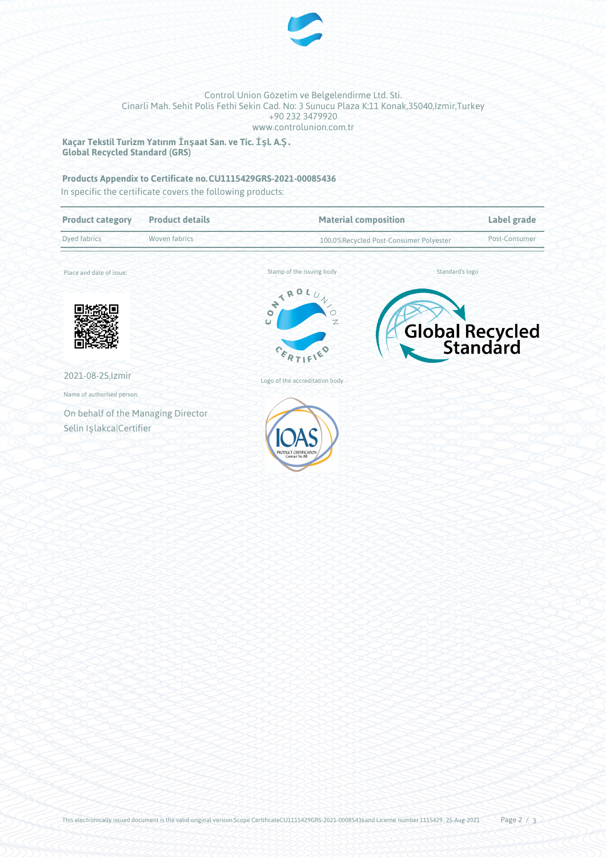

## Control Union Gözetim ve Belgelendirme Ltd. Sti. Cinarli Mah. Sehit Polis Fethi Sekin Cad. No: 3 Sunucu Plaza K:11 Konak,35040,Izmir,Turkey +90 232 3479920 www.controlunion.com.tr

**Kaçar Tekstil Turizm Yatırım İnşaat San. ve Tic. İşl. A.Ş. Global Recycled Standard (GRS)**

# **Products Appendix to Certificate no.CU1115429GRS-2021-00085436**

In specific the certificate covers the following products:

| <b>Product category</b>            | <b>Product details</b> | <b>Material composition</b><br>100.0%Recycled Post-Consumer Polyester               |  | Label grade<br>Post-Consumer |  |
|------------------------------------|------------------------|-------------------------------------------------------------------------------------|--|------------------------------|--|
| <b>Dyed fabrics</b>                | Woven fabrics          |                                                                                     |  |                              |  |
| Place and date of issue:           |                        | Stamp of the issuing body                                                           |  | Standard's logo              |  |
|                                    |                        | ONTROL,<br>$\gamma$<br>$\overline{\circ}$<br>Ü<br>$\mathbb{Z}$<br>$c_{\mathcal{E}}$ |  | Global Recycled              |  |
| 2021-08-25, Izmir                  |                        | Logo of the accreditation body                                                      |  |                              |  |
| Name of authorised person:         |                        |                                                                                     |  |                              |  |
| On behalf of the Managing Director |                        |                                                                                     |  |                              |  |
| Selin Işlakca Certifier            |                        | Contract No.86                                                                      |  |                              |  |
|                                    |                        |                                                                                     |  |                              |  |